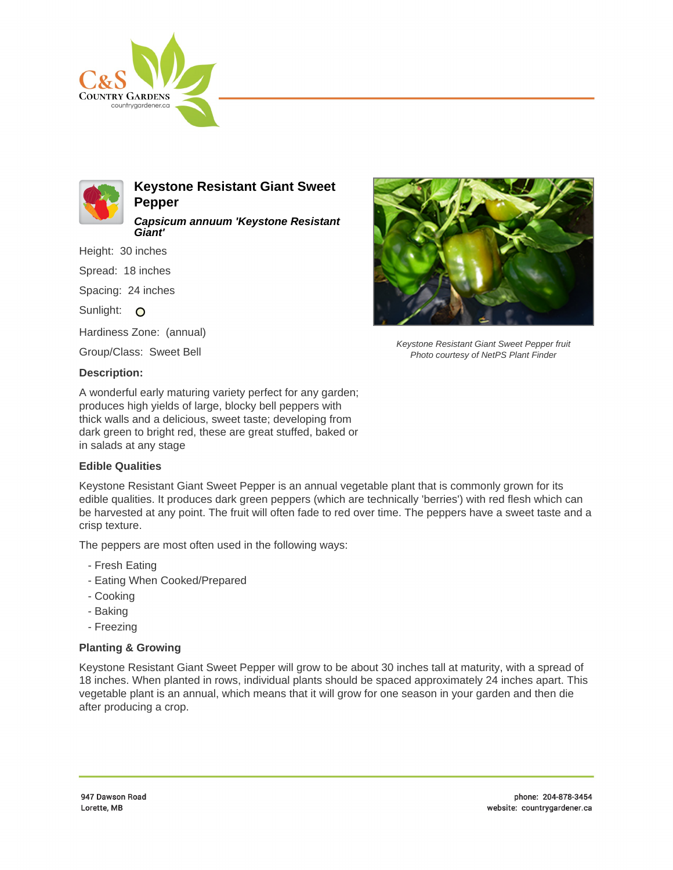



**Keystone Resistant Giant Sweet Pepper Capsicum annuum 'Keystone Resistant**

Height: 30 inches

Spread: 18 inches

Spacing: 24 inches

Sunlight: O

Hardiness Zone: (annual)

**Giant'**

Group/Class: Sweet Bell

## **Description:**

A wonderful early maturing variety perfect for any garden; produces high yields of large, blocky bell peppers with thick walls and a delicious, sweet taste; developing from dark green to bright red, these are great stuffed, baked or in salads at any stage

## **Edible Qualities**

Keystone Resistant Giant Sweet Pepper is an annual vegetable plant that is commonly grown for its edible qualities. It produces dark green peppers (which are technically 'berries') with red flesh which can be harvested at any point. The fruit will often fade to red over time. The peppers have a sweet taste and a crisp texture.

The peppers are most often used in the following ways:

- Fresh Eating
- Eating When Cooked/Prepared
- Cooking
- Baking
- Freezing

## **Planting & Growing**

Keystone Resistant Giant Sweet Pepper will grow to be about 30 inches tall at maturity, with a spread of 18 inches. When planted in rows, individual plants should be spaced approximately 24 inches apart. This vegetable plant is an annual, which means that it will grow for one season in your garden and then die after producing a crop.



Keystone Resistant Giant Sweet Pepper fruit Photo courtesy of NetPS Plant Finder